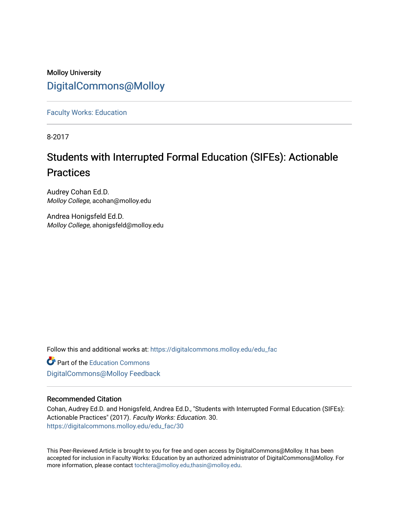### Molloy University [DigitalCommons@Molloy](https://digitalcommons.molloy.edu/)

[Faculty Works: Education](https://digitalcommons.molloy.edu/edu_fac) 

8-2017

## Students with Interrupted Formal Education (SIFEs): Actionable **Practices**

Audrey Cohan Ed.D. Molloy College, acohan@molloy.edu

Andrea Honigsfeld Ed.D. Molloy College, ahonigsfeld@molloy.edu

Follow this and additional works at: [https://digitalcommons.molloy.edu/edu\\_fac](https://digitalcommons.molloy.edu/edu_fac?utm_source=digitalcommons.molloy.edu%2Fedu_fac%2F30&utm_medium=PDF&utm_campaign=PDFCoverPages)

**Part of the [Education Commons](https://network.bepress.com/hgg/discipline/784?utm_source=digitalcommons.molloy.edu%2Fedu_fac%2F30&utm_medium=PDF&utm_campaign=PDFCoverPages)** [DigitalCommons@Molloy Feedback](https://molloy.libwizard.com/f/dcfeedback)

### Recommended Citation

Cohan, Audrey Ed.D. and Honigsfeld, Andrea Ed.D., "Students with Interrupted Formal Education (SIFEs): Actionable Practices" (2017). Faculty Works: Education. 30. [https://digitalcommons.molloy.edu/edu\\_fac/30](https://digitalcommons.molloy.edu/edu_fac/30?utm_source=digitalcommons.molloy.edu%2Fedu_fac%2F30&utm_medium=PDF&utm_campaign=PDFCoverPages) 

This Peer-Reviewed Article is brought to you for free and open access by DigitalCommons@Molloy. It has been accepted for inclusion in Faculty Works: Education by an authorized administrator of DigitalCommons@Molloy. For more information, please contact [tochtera@molloy.edu,thasin@molloy.edu.](mailto:tochtera@molloy.edu,thasin@molloy.edu)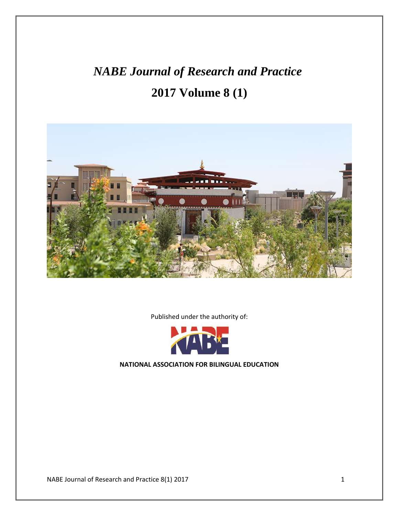# *NABE Journal of Research and Practice* **2017 Volume 8 (1)**



Published under the authority of:



**NATIONAL ASSOCIATION FOR BILINGUAL EDUCATION**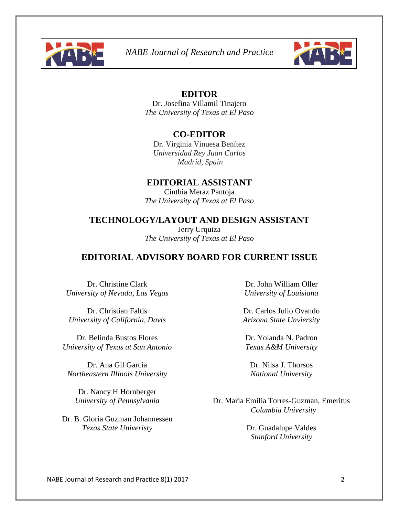



### **EDITOR**

Dr. Josefina Villamil Tinajero *The University of Texas at El Paso*

### **CO-EDITOR**

Dr. Virginia Vinuesa Benítez *Universidad Rey Juan Carlos Madrid, Spain*

### **EDITORIAL ASSISTANT**

Cinthia Meraz Pantoja *The University of Texas at El Paso*

### **TECHNOLOGY/LAYOUT AND DESIGN ASSISTANT**

Jerry Urquiza *The University of Texas at El Paso*

### **EDITORIAL ADVISORY BOARD FOR CURRENT ISSUE**

Dr. Christine Clark *University of Nevada, Las Vegas*

Dr. Christian Faltis *University of California, Davis*

Dr. Belinda Bustos Flores *University of Texas at San Antonio*

Dr. Ana Gil Garcia *Northeastern Illinois University*

Dr. Nancy H Hornberger *University of Pennsylvania*

Dr. B. Gloria Guzman Johannessen *Texas State Univeristy*

Dr. John William Oller *University of Louisiana*

Dr. Carlos Julio Ovando *Arizona State Unviersity*

Dr. Yolanda N. Padron *Texas A&M University*

Dr. Nilsa J. Thorsos *National University*

Dr. Maria Emilia Torres-Guzman, Emeritus *Columbia University*

> Dr. Guadalupe Valdes *Stanford University*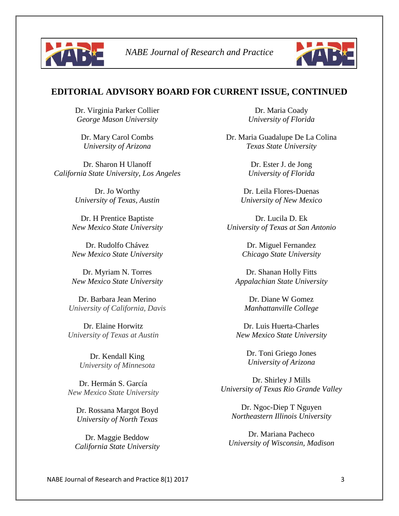



### **EDITORIAL ADVISORY BOARD FOR CURRENT ISSUE, CONTINUED**

Dr. Virginia Parker Collier *George Mason University*

Dr. Mary Carol Combs *University of Arizona*

Dr. Sharon H Ulanoff *California State University, Los Angeles*

> Dr. Jo Worthy *University of Texas, Austin*

Dr. H Prentice Baptiste *New Mexico State University*

Dr. Rudolfo Chávez *New Mexico State University*

Dr. Myriam N. Torres *New Mexico State University*

Dr. Barbara Jean Merino *University of California, Davis*

Dr. Elaine Horwitz *University of Texas at Austin*

> Dr. Kendall King *University of Minnesota*

Dr. Hermán S. García *New Mexico State University*

Dr. Rossana Margot Boyd *University of North Texas*

Dr. Maggie Beddow *California State University*

Dr. Maria Coady *University of Florida*

Dr. Maria Guadalupe De La Colina *Texas State University*

> Dr. Ester J. de Jong *University of Florida*

Dr. Leila Flores-Duenas *University of New Mexico*

Dr. Lucila D. Ek *University of Texas at San Antonio*

> Dr. Miguel Fernandez *Chicago State University*

Dr. Shanan Holly Fitts *Appalachian State University*

Dr. Diane W Gomez *Manhattanville College*

Dr. Luis Huerta-Charles *New Mexico State University*

> Dr. Toni Griego Jones *University of Arizona*

Dr. Shirley J Mills *University of Texas Rio Grande Valley*

Dr. Ngoc-Diep T Nguyen *Northeastern Illinois University*

Dr. Mariana Pacheco *University of Wisconsin, Madison*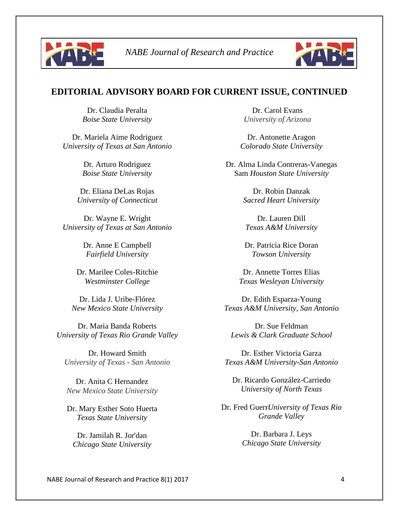



### **EDITORIAL ADVISORY BOARD FOR CURRENT ISSUE, CONTINUED**

Dr. Claudia Peralta *Boise State University*

Dr. Mariela Aime Rodriguez *University of Texas at San Antonio*

> Dr. Arturo Rodriguez *Boise State University*

Dr. Eliana DeLas Rojas *University of Connecticut*

Dr. Wayne E. Wright *University of Texas at San Antonio*

> Dr. Anne E Campbell *Fairfield University*

Dr. Marilee Coles-Ritchie *Westminster College*

Dr. Lida J. Uribe-Flórez *New Mexico State University*

Dr. Maria Banda Roberts *University of Texas Rio Grande Valley*

Dr. Howard Smith *University of Texas - San Antonio*

Dr. Anita C Hernandez *New Mexico State University*

Dr. Mary Esther Soto Huerta *Texas State University*

Dr. Jamilah R. Jor'dan *Chicago State University*

Dr. Carol Evans *University of Arizona*

Dr. Antonette Aragon *Colorado State University*

Dr. Alma Linda Contreras-Vanegas Sam *Houston State University*

> Dr. Robin Danzak *Sacred Heart University*

Dr. Lauren Dill *Texas A&M University*

Dr. Patricia Rice Doran *Towson University*

Dr. Annette Torres Elias *Texas Wesleyan University*

Dr. Edith Esparza-Young *Texas A&M University, San Antonio*

Dr. Sue Feldman *Lewis & Clark Graduate School*

Dr. Esther Victoria Garza *Texas A&M University-San Antonio*

Dr. Ricardo González-Carriedo *University of North Texas*

Dr. Fred Guerr*University of Texas Rio Grande Valley*

> Dr. Barbara J. Leys *Chicago State University*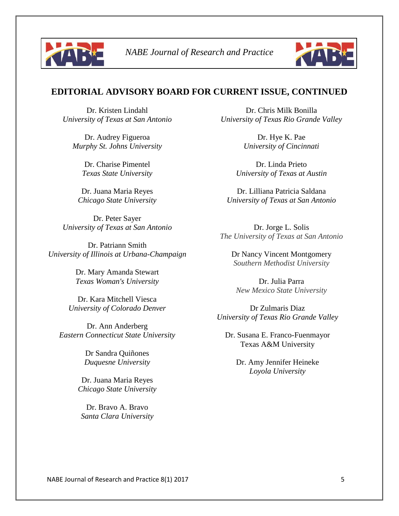



### **EDITORIAL ADVISORY BOARD FOR CURRENT ISSUE, CONTINUED**

Dr. Kristen Lindahl *University of Texas at San Antonio*

Dr. Audrey Figueroa *Murphy St. Johns University*

> Dr. Charise Pimentel *Texas State University*

Dr. Juana Maria Reyes *Chicago State University*

Dr. Peter Sayer *University of Texas at San Antonio*

Dr. Patriann Smith *University of Illinois at Urbana-Champaign*

> Dr. Mary Amanda Stewart *Texas Woman's University*

Dr. Kara Mitchell Viesca *University of Colorado Denver*

Dr. Ann Anderberg *Eastern Connecticut State University*

> Dr Sandra Quiñones *Duquesne University*

Dr. Juana Maria Reyes *Chicago State University*

Dr. Bravo A. Bravo *Santa Clara University*

Dr. Chris Milk Bonilla *University of Texas Rio Grande Valley*

> Dr. Hye K. Pae *University of Cincinnati*

Dr. Linda Prieto *University of Texas at Austin*

Dr. Lilliana Patricia Saldana *University of Texas at San Antonio*

Dr. Jorge L. Solis *The University of Texas at San Antonio*

Dr Nancy Vincent Montgomery *Southern Methodist University*

Dr. Julia Parra *New Mexico State University*

Dr Zulmaris Diaz *University of Texas Rio Grande Valley*

Dr. Susana E. Franco-Fuenmayor Texas A&M University

Dr. Amy Jennifer Heineke *Loyola University*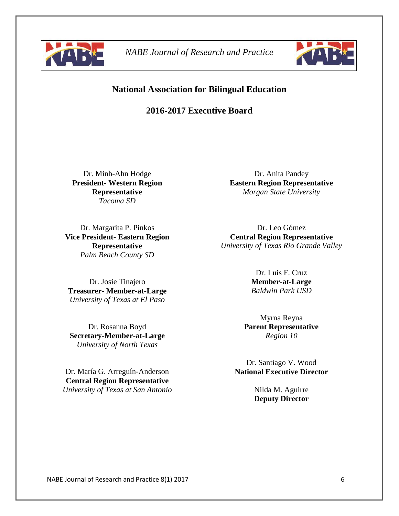



### **National Association for Bilingual Education**

### **2016-2017 Executive Board**

Dr. Minh-Ahn Hodge **President- Western Region Representative** *Tacoma SD*

Dr. Margarita P. Pinkos **Vice President- Eastern Region Representative** *Palm Beach County SD*

Dr. Josie Tinajero **Treasurer- Member-at-Large** *University of Texas at El Paso*

Dr. Rosanna Boyd **Secretary-Member-at-Large** *University of North Texas*

Dr. María G. Arreguín-Anderson **Central Region Representative**  *University of Texas at San Antonio*

Dr. Anita Pandey **Eastern Region Representative** *Morgan State University*

Dr. Leo Gómez **Central Region Representative** *University of Texas Rio Grande Valley*

> Dr. Luis F. Cruz **Member-at-Large** *Baldwin Park USD*

Myrna Reyna **Parent Representative** *Region 10*

Dr. Santiago V. Wood **National Executive Director**

> Nilda M. Aguirre **Deputy Director**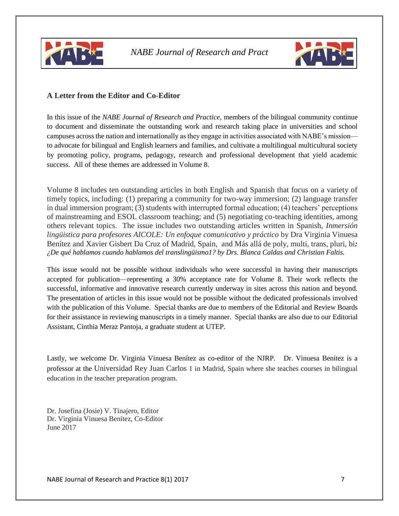



### **A Letter from the Editor and Co-Editor**

In this issue of the *NABE Journal of Research and Practice*, members of the bilingual community continue to document and disseminate the outstanding work and research taking place in universities and school campuses acrossthe nation and internationally as they engage in activities associated with NABE's mission to advocate for bilingual and English learners and families, and cultivate a multilingual multicultural society by promoting policy, programs, pedagogy, research and professional development that yield academic success. All of these themes are addressed in Volume 8.

Volume 8 includes ten outstanding articles in both English and Spanish that focus on a variety of timely topics, including: (1) preparing a community for two-way immersion; (2) language transfer in dual immersion program; (3) students with interrupted formal education; (4) teachers' perceptions of mainstreaming and ESOL classroom teaching; and (5) negotiating co-teaching identities, among others relevant topics. The issue includes two outstanding articles written in Spanish, *Inmersión lingüistica para profesores AICOLE: Un enfoque comunicativo y práctico* by Dra Virginia Vinuesa Benítez and Xavier Gisbert Da Cruz of Madrid, Spain, and Más allá de poly, multi, trans, pluri, bi*: ¿De qué hablamos cuando hablamos del translingüismo1? by Drs. Blanca Caldas and Christian Faltis.*

This issue would not be possible without individuals who were successful in having their manuscripts accepted for publication—representing a 30% acceptance rate for Volume 8. Their work reflects the successful, informative and innovative research currently underway in sites across this nation and beyond. The presentation of articles in this issue would not be possible without the dedicated professionals involved with the publication of this Volume. Special thanks are due to members of the Editorial and Review Boards for their assistance in reviewing manuscripts in a timely manner. Special thanks are also due to our Editorial Assistant, Cinthia Meraz Pantoja, a graduate student at UTEP.

Lastly, we welcome Dr. Virginia Vinuesa Benítez as co-editor of the NJRP. Dr. Vinuesa Benítez is a professor at the Universidad Rey Juan Carlos 1 in Madrid, Spain where she teaches courses in bilingual education in the teacher preparation program.

Dr. Josefina (Josie) V. Tinajero, Editor Dr. Virginia Vinuesa Benítez, Co-Editor June 2017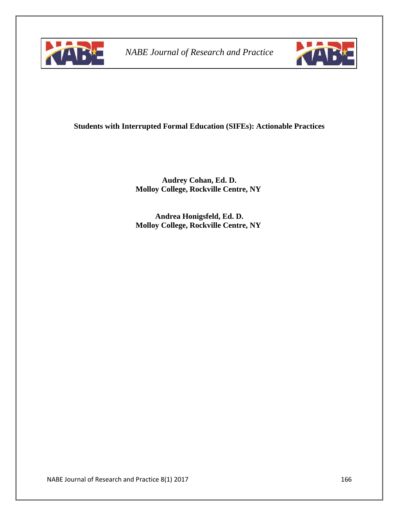



### **Students with Interrupted Formal Education (SIFEs): Actionable Practices**

**Audrey Cohan, Ed. D. Molloy College, Rockville Centre, NY**

**Andrea Honigsfeld, Ed. D. Molloy College, Rockville Centre, NY**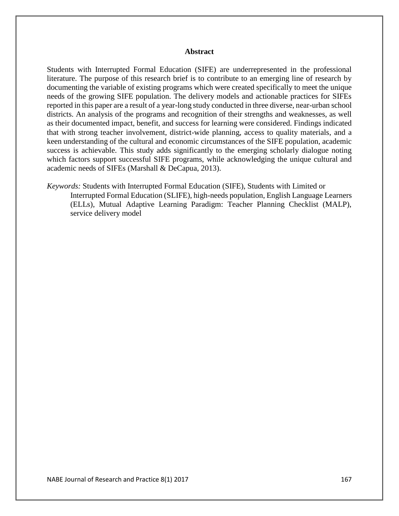#### **Abstract**

Students with Interrupted Formal Education (SIFE) are underrepresented in the professional literature. The purpose of this research brief is to contribute to an emerging line of research by documenting the variable of existing programs which were created specifically to meet the unique needs of the growing SIFE population. The delivery models and actionable practices for SIFEs reported in this paper are a result of a year-long study conducted in three diverse, near-urban school districts. An analysis of the programs and recognition of their strengths and weaknesses, as well as their documented impact, benefit, and success for learning were considered. Findings indicated that with strong teacher involvement, district-wide planning, access to quality materials, and a keen understanding of the cultural and economic circumstances of the SIFE population, academic success is achievable. This study adds significantly to the emerging scholarly dialogue noting which factors support successful SIFE programs, while acknowledging the unique cultural and academic needs of SIFEs (Marshall & DeCapua, 2013).

*Keywords:* Students with Interrupted Formal Education (SIFE), Students with Limited or Interrupted Formal Education (SLIFE), high-needs population, English Language Learners (ELLs), Mutual Adaptive Learning Paradigm: Teacher Planning Checklist (MALP), service delivery model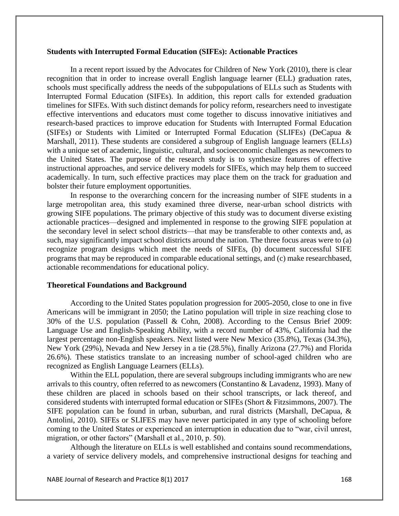#### **Students with Interrupted Formal Education (SIFEs): Actionable Practices**

In a recent report issued by the Advocates for Children of New York (2010), there is clear recognition that in order to increase overall English language learner (ELL) graduation rates, schools must specifically address the needs of the subpopulations of ELLs such as Students with Interrupted Formal Education (SIFEs). In addition, this report calls for extended graduation timelines for SIFEs. With such distinct demands for policy reform, researchers need to investigate effective interventions and educators must come together to discuss innovative initiatives and research-based practices to improve education for Students with Interrupted Formal Education (SIFEs) or Students with Limited or Interrupted Formal Education (SLIFEs) (DeCapua & Marshall, 2011). These students are considered a subgroup of English language learners (ELLs) with a unique set of academic, linguistic, cultural, and socioeconomic challenges as newcomers to the United States. The purpose of the research study is to synthesize features of effective instructional approaches, and service delivery models for SIFEs, which may help them to succeed academically. In turn, such effective practices may place them on the track for graduation and bolster their future employment opportunities.

In response to the overarching concern for the increasing number of SIFE students in a large metropolitan area, this study examined three diverse, near-urban school districts with growing SIFE populations. The primary objective of this study was to document diverse existing actionable practices—designed and implemented in response to the growing SIFE population at the secondary level in select school districts—that may be transferable to other contexts and, as such, may significantly impact school districts around the nation. The three focus areas were to (a) recognize program designs which meet the needs of SIFEs, (b) document successful SIFE programs that may be reproduced in comparable educational settings, and (c) make researchbased, actionable recommendations for educational policy.

#### **Theoretical Foundations and Background**

According to the United States population progression for 2005-2050, close to one in five Americans will be immigrant in 2050; the Latino population will triple in size reaching close to 30% of the U.S. population (Passell & Cohn, 2008). According to the Census Brief 2009: Language Use and English-Speaking Ability, with a record number of 43%, California had the largest percentage non-English speakers. Next listed were New Mexico (35.8%), Texas (34.3%), New York (29%), Nevada and New Jersey in a tie (28.5%), finally Arizona (27.7%) and Florida 26.6%). These statistics translate to an increasing number of school-aged children who are recognized as English Language Learners (ELLs).

Within the ELL population, there are several subgroups including immigrants who are new arrivals to this country, often referred to as newcomers (Constantino & Lavadenz, 1993). Many of these children are placed in schools based on their school transcripts, or lack thereof, and considered students with interrupted formal education or SIFEs (Short & Fitzsimmons, 2007). The SIFE population can be found in urban, suburban, and rural districts (Marshall, DeCapua, & Antolini, 2010). SIFEs or SLIFES may have never participated in any type of schooling before coming to the United States or experienced an interruption in education due to "war, civil unrest, migration, or other factors" (Marshall et al., 2010, p. 50).

Although the literature on ELLs is well established and contains sound recommendations, a variety of service delivery models, and comprehensive instructional designs for teaching and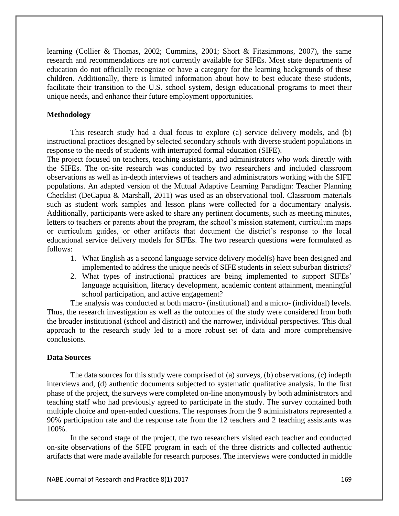learning (Collier & Thomas, 2002; Cummins, 2001; Short & Fitzsimmons, 2007), the same research and recommendations are not currently available for SIFEs. Most state departments of education do not officially recognize or have a category for the learning backgrounds of these children. Additionally, there is limited information about how to best educate these students, facilitate their transition to the U.S. school system, design educational programs to meet their unique needs, and enhance their future employment opportunities.

#### **Methodology**

This research study had a dual focus to explore (a) service delivery models, and (b) instructional practices designed by selected secondary schools with diverse student populations in response to the needs of students with interrupted formal education (SIFE).

The project focused on teachers, teaching assistants, and administrators who work directly with the SIFEs. The on-site research was conducted by two researchers and included classroom observations as well as in-depth interviews of teachers and administrators working with the SIFE populations. An adapted version of the Mutual Adaptive Learning Paradigm: Teacher Planning Checklist (DeCapua & Marshall, 2011) was used as an observational tool. Classroom materials such as student work samples and lesson plans were collected for a documentary analysis. Additionally, participants were asked to share any pertinent documents, such as meeting minutes, letters to teachers or parents about the program, the school's mission statement, curriculum maps or curriculum guides, or other artifacts that document the district's response to the local educational service delivery models for SIFEs. The two research questions were formulated as follows:

- 1. What English as a second language service delivery model(s) have been designed and implemented to address the unique needs of SIFE students in select suburban districts?
- 2. What types of instructional practices are being implemented to support SIFEs' language acquisition, literacy development, academic content attainment, meaningful school participation, and active engagement?

The analysis was conducted at both macro- (institutional) and a micro- (individual) levels. Thus, the research investigation as well as the outcomes of the study were considered from both the broader institutional (school and district) and the narrower, individual perspectives. This dual approach to the research study led to a more robust set of data and more comprehensive conclusions.

#### **Data Sources**

The data sources for this study were comprised of (a) surveys, (b) observations, (c) indepth interviews and, (d) authentic documents subjected to systematic qualitative analysis. In the first phase of the project, the surveys were completed on-line anonymously by both administrators and teaching staff who had previously agreed to participate in the study. The survey contained both multiple choice and open-ended questions. The responses from the 9 administrators represented a 90% participation rate and the response rate from the 12 teachers and 2 teaching assistants was 100%.

In the second stage of the project, the two researchers visited each teacher and conducted on-site observations of the SIFE program in each of the three districts and collected authentic artifacts that were made available for research purposes. The interviews were conducted in middle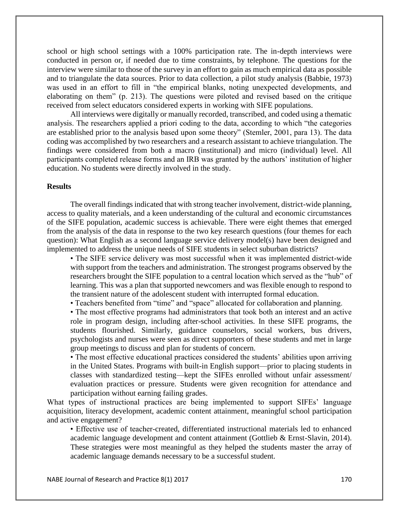school or high school settings with a 100% participation rate. The in-depth interviews were conducted in person or, if needed due to time constraints, by telephone. The questions for the interview were similar to those of the survey in an effort to gain as much empirical data as possible and to triangulate the data sources. Prior to data collection, a pilot study analysis (Babbie, 1973) was used in an effort to fill in "the empirical blanks, noting unexpected developments, and elaborating on them" (p. 213). The questions were piloted and revised based on the critique received from select educators considered experts in working with SIFE populations.

All interviews were digitally or manually recorded, transcribed, and coded using a thematic analysis. The researchers applied a priori coding to the data, according to which "the categories are established prior to the analysis based upon some theory" (Stemler, 2001, para 13). The data coding was accomplished by two researchers and a research assistant to achieve triangulation. The findings were considered from both a macro (institutional) and micro (individual) level. All participants completed release forms and an IRB was granted by the authors' institution of higher education. No students were directly involved in the study.

#### **Results**

The overall findings indicated that with strong teacher involvement, district-wide planning, access to quality materials, and a keen understanding of the cultural and economic circumstances of the SIFE population, academic success is achievable. There were eight themes that emerged from the analysis of the data in response to the two key research questions (four themes for each question): What English as a second language service delivery model(s) have been designed and implemented to address the unique needs of SIFE students in select suburban districts?

• The SIFE service delivery was most successful when it was implemented district-wide with support from the teachers and administration. The strongest programs observed by the researchers brought the SIFE population to a central location which served as the "hub" of learning. This was a plan that supported newcomers and was flexible enough to respond to the transient nature of the adolescent student with interrupted formal education.

• Teachers benefited from "time" and "space" allocated for collaboration and planning.

• The most effective programs had administrators that took both an interest and an active role in program design, including after-school activities. In these SIFE programs, the students flourished. Similarly, guidance counselors, social workers, bus drivers, psychologists and nurses were seen as direct supporters of these students and met in large group meetings to discuss and plan for students of concern.

• The most effective educational practices considered the students' abilities upon arriving in the United States. Programs with built-in English support—prior to placing students in classes with standardized testing—kept the SIFEs enrolled without unfair assessment/ evaluation practices or pressure. Students were given recognition for attendance and participation without earning failing grades.

What types of instructional practices are being implemented to support SIFEs' language acquisition, literacy development, academic content attainment, meaningful school participation and active engagement?

• Effective use of teacher-created, differentiated instructional materials led to enhanced academic language development and content attainment (Gottlieb & Ernst-Slavin, 2014). These strategies were most meaningful as they helped the students master the array of academic language demands necessary to be a successful student.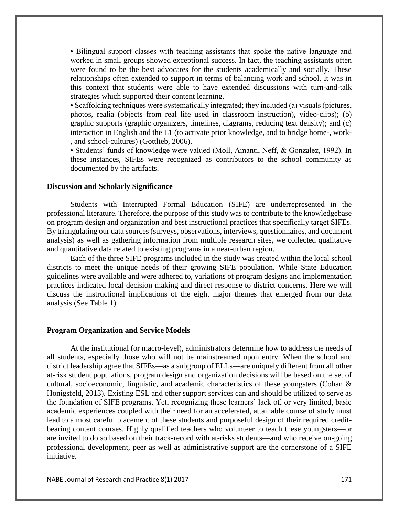• Bilingual support classes with teaching assistants that spoke the native language and worked in small groups showed exceptional success. In fact, the teaching assistants often were found to be the best advocates for the students academically and socially. These relationships often extended to support in terms of balancing work and school. It was in this context that students were able to have extended discussions with turn-and-talk strategies which supported their content learning.

• Scaffolding techniques were systematically integrated; they included (a) visuals (pictures, photos, realia (objects from real life used in classroom instruction), video-clips); (b) graphic supports (graphic organizers, timelines, diagrams, reducing text density); and (c) interaction in English and the L1 (to activate prior knowledge, and to bridge home-, work- , and school-cultures) (Gottlieb, 2006).

• Students' funds of knowledge were valued (Moll, Amanti, Neff, & Gonzalez, 1992). In these instances, SIFEs were recognized as contributors to the school community as documented by the artifacts.

#### **Discussion and Scholarly Significance**

Students with Interrupted Formal Education (SIFE) are underrepresented in the professional literature. Therefore, the purpose of this study was to contribute to the knowledgebase on program design and organization and best instructional practices that specifically target SIFEs. By triangulating our data sources (surveys, observations, interviews, questionnaires, and document analysis) as well as gathering information from multiple research sites, we collected qualitative and quantitative data related to existing programs in a near-urban region.

Each of the three SIFE programs included in the study was created within the local school districts to meet the unique needs of their growing SIFE population. While State Education guidelines were available and were adhered to, variations of program designs and implementation practices indicated local decision making and direct response to district concerns. Here we will discuss the instructional implications of the eight major themes that emerged from our data analysis (See Table 1).

#### **Program Organization and Service Models**

At the institutional (or macro-level), administrators determine how to address the needs of all students, especially those who will not be mainstreamed upon entry. When the school and district leadership agree that SIFEs—as a subgroup of ELLs—are uniquely different from all other at-risk student populations, program design and organization decisions will be based on the set of cultural, socioeconomic, linguistic, and academic characteristics of these youngsters (Cohan  $\&$ Honigsfeld, 2013). Existing ESL and other support services can and should be utilized to serve as the foundation of SIFE programs. Yet, recognizing these learners' lack of, or very limited, basic academic experiences coupled with their need for an accelerated, attainable course of study must lead to a most careful placement of these students and purposeful design of their required creditbearing content courses. Highly qualified teachers who volunteer to teach these youngsters—or are invited to do so based on their track-record with at-risks students—and who receive on-going professional development, peer as well as administrative support are the cornerstone of a SIFE initiative.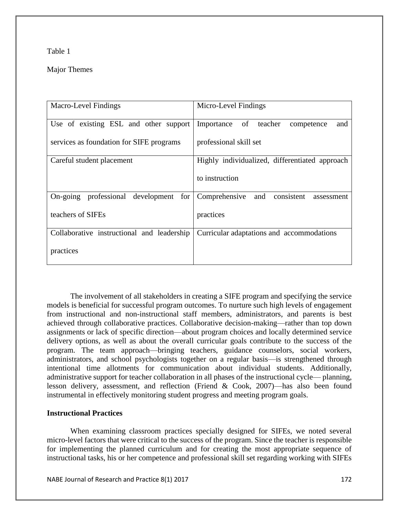#### Table 1

### Major Themes

| <b>Macro-Level Findings</b>                | Micro-Level Findings                             |
|--------------------------------------------|--------------------------------------------------|
| Use of existing ESL and other support      | Importance of teacher<br>competence<br>and       |
| services as foundation for SIFE programs   | professional skill set                           |
| Careful student placement                  | Highly individualized, differentiated approach   |
|                                            | to instruction                                   |
| On-going professional development for      | Comprehensive<br>and<br>consistent<br>assessment |
| teachers of SIFEs                          | practices                                        |
| Collaborative instructional and leadership | Curricular adaptations and accommodations        |
| practices                                  |                                                  |

The involvement of all stakeholders in creating a SIFE program and specifying the service models is beneficial for successful program outcomes. To nurture such high levels of engagement from instructional and non-instructional staff members, administrators, and parents is best achieved through collaborative practices. Collaborative decision-making—rather than top down assignments or lack of specific direction—about program choices and locally determined service delivery options, as well as about the overall curricular goals contribute to the success of the program. The team approach—bringing teachers, guidance counselors, social workers, administrators, and school psychologists together on a regular basis—is strengthened through intentional time allotments for communication about individual students. Additionally, administrative support for teacher collaboration in all phases of the instructional cycle— planning, lesson delivery, assessment, and reflection (Friend & Cook, 2007)—has also been found instrumental in effectively monitoring student progress and meeting program goals.

### **Instructional Practices**

When examining classroom practices specially designed for SIFEs, we noted several micro-level factors that were critical to the success of the program. Since the teacher is responsible for implementing the planned curriculum and for creating the most appropriate sequence of instructional tasks, his or her competence and professional skill set regarding working with SIFEs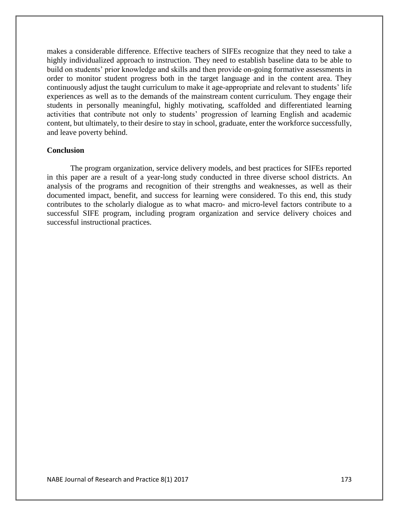makes a considerable difference. Effective teachers of SIFEs recognize that they need to take a highly individualized approach to instruction. They need to establish baseline data to be able to build on students' prior knowledge and skills and then provide on-going formative assessments in order to monitor student progress both in the target language and in the content area. They continuously adjust the taught curriculum to make it age-appropriate and relevant to students' life experiences as well as to the demands of the mainstream content curriculum. They engage their students in personally meaningful, highly motivating, scaffolded and differentiated learning activities that contribute not only to students' progression of learning English and academic content, but ultimately, to their desire to stay in school, graduate, enter the workforce successfully, and leave poverty behind.

#### **Conclusion**

The program organization, service delivery models, and best practices for SIFEs reported in this paper are a result of a year-long study conducted in three diverse school districts. An analysis of the programs and recognition of their strengths and weaknesses, as well as their documented impact, benefit, and success for learning were considered. To this end, this study contributes to the scholarly dialogue as to what macro- and micro-level factors contribute to a successful SIFE program, including program organization and service delivery choices and successful instructional practices.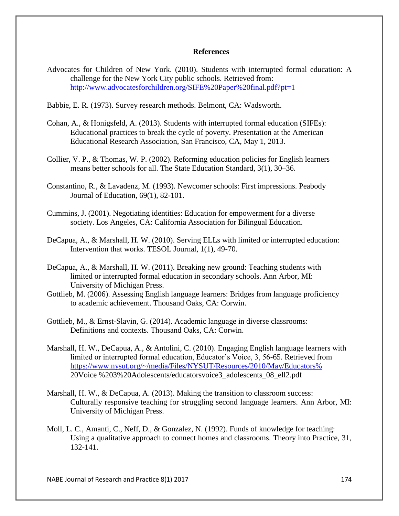#### **References**

Advocates for Children of New York. (2010). Students with interrupted formal education: A challenge for the New York City public schools. Retrieved from: http://www.advocatesforchildren.org/SIFE%20Paper%20final.pdf?pt=1

Babbie, E. R. (1973). Survey research methods. Belmont, CA: Wadsworth.

- Cohan, A., & Honigsfeld, A. (2013). Students with interrupted formal education (SIFEs): Educational practices to break the cycle of poverty. Presentation at the American Educational Research Association, San Francisco, CA, May 1, 2013.
- Collier, V. P., & Thomas, W. P. (2002). Reforming education policies for English learners means better schools for all. The State Education Standard, 3(1), 30–36.
- Constantino, R., & Lavadenz, M. (1993). Newcomer schools: First impressions. Peabody Journal of Education, 69(1), 82-101.
- Cummins, J. (2001). Negotiating identities: Education for empowerment for a diverse society. Los Angeles, CA: California Association for Bilingual Education.
- DeCapua, A., & Marshall, H. W. (2010). Serving ELLs with limited or interrupted education: Intervention that works. TESOL Journal, 1(1), 49-70.
- DeCapua, A., & Marshall, H. W. (2011). Breaking new ground: Teaching students with limited or interrupted formal education in secondary schools. Ann Arbor, MI: University of Michigan Press.
- Gottlieb, M. (2006). Assessing English language learners: Bridges from language proficiency to academic achievement. Thousand Oaks, CA: Corwin.
- Gottlieb, M., & Ernst-Slavin, G. (2014). Academic language in diverse classrooms: Definitions and contexts. Thousand Oaks, CA: Corwin.
- Marshall, H. W., DeCapua, A., & Antolini, C. (2010). Engaging English language learners with limited or interrupted formal education, Educator's Voice, 3, 56-65. Retrieved from https://www.nysut.org/~/media/Files/NYSUT/Resources/2010/May/Educators% 20Voice %203%20Adolescents/educatorsvoice3\_adolescents\_08\_ell2.pdf
- Marshall, H. W., & DeCapua, A. (2013). Making the transition to classroom success: Culturally responsive teaching for struggling second language learners. Ann Arbor, MI: University of Michigan Press.
- Moll, L. C., Amanti, C., Neff, D., & Gonzalez, N. (1992). Funds of knowledge for teaching: Using a qualitative approach to connect homes and classrooms. Theory into Practice, 31, 132-141.